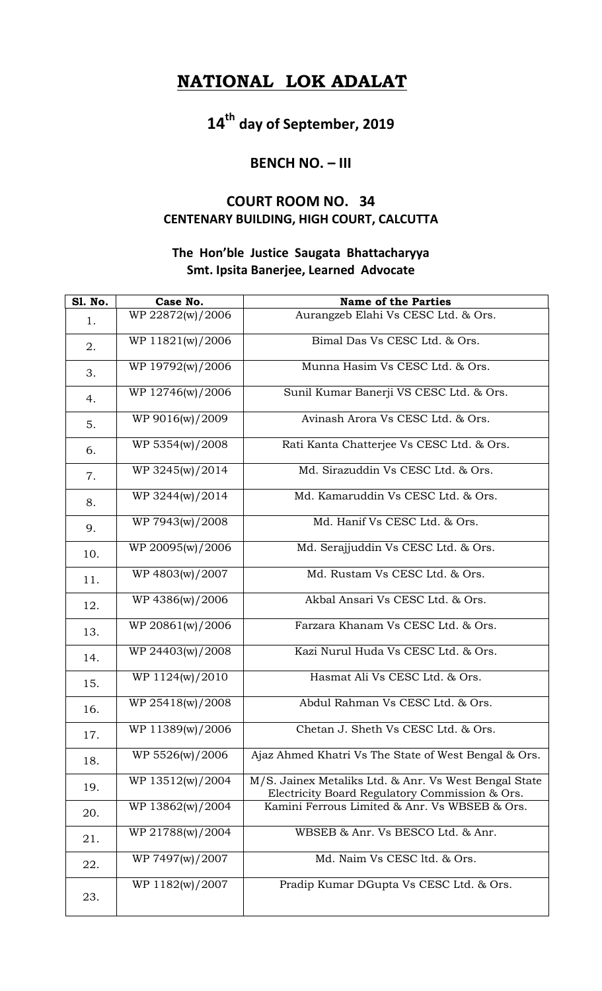## **NATIONAL LOK ADALAT**

**14th day of September, 2019**

## **BENCH NO. – III**

## **COURT ROOM NO. 34 CENTENARY BUILDING, HIGH COURT, CALCUTTA**

## **The Hon'ble Justice Saugata Bhattacharyya Smt. Ipsita Banerjee, Learned Advocate**

| <b>S1. No.</b> | Case No.         | <b>Name of the Parties</b>                                                                              |
|----------------|------------------|---------------------------------------------------------------------------------------------------------|
| 1.             | WP 22872(w)/2006 | Aurangzeb Elahi Vs CESC Ltd. & Ors.                                                                     |
| 2.             | WP 11821(w)/2006 | Bimal Das Vs CESC Ltd. & Ors.                                                                           |
| 3.             | WP 19792(w)/2006 | Munna Hasim Vs CESC Ltd. & Ors.                                                                         |
| 4.             | WP 12746(w)/2006 | Sunil Kumar Banerji VS CESC Ltd. & Ors.                                                                 |
| 5.             | WP 9016(w)/2009  | Avinash Arora Vs CESC Ltd. & Ors.                                                                       |
| 6.             | WP 5354(w)/2008  | Rati Kanta Chatterjee Vs CESC Ltd. & Ors.                                                               |
| 7.             | WP 3245(w)/2014  | Md. Sirazuddin Vs CESC Ltd. & Ors.                                                                      |
| 8.             | WP 3244(w)/2014  | Md. Kamaruddin Vs CESC Ltd. & Ors.                                                                      |
| 9.             | WP 7943(w)/2008  | Md. Hanif Vs CESC Ltd. & Ors.                                                                           |
| 10.            | WP 20095(w)/2006 | Md. Serajjuddin Vs CESC Ltd. & Ors.                                                                     |
| 11.            | WP 4803(w)/2007  | Md. Rustam Vs CESC Ltd. & Ors.                                                                          |
| 12.            | WP 4386(w)/2006  | Akbal Ansari Vs CESC Ltd. & Ors.                                                                        |
| 13.            | WP 20861(w)/2006 | Farzara Khanam Vs CESC Ltd. & Ors.                                                                      |
| 14.            | WP 24403(w)/2008 | Kazi Nurul Huda Vs CESC Ltd. & Ors.                                                                     |
| 15.            | WP 1124(w)/2010  | Hasmat Ali Vs CESC Ltd. & Ors.                                                                          |
| 16.            | WP 25418(w)/2008 | Abdul Rahman Vs CESC Ltd. & Ors.                                                                        |
| 17.            | WP 11389(w)/2006 | Chetan J. Sheth Vs CESC Ltd. & Ors.                                                                     |
| 18.            | WP 5526(w)/2006  | Ajaz Ahmed Khatri Vs The State of West Bengal & Ors.                                                    |
| 19.            | WP 13512(w)/2004 | M/S. Jainex Metaliks Ltd. & Anr. Vs West Bengal State<br>Electricity Board Regulatory Commission & Ors. |
| 20.            | WP 13862(w)/2004 | Kamini Ferrous Limited & Anr. Vs WBSEB & Ors.                                                           |
| 21.            | WP 21788(w)/2004 | WBSEB & Anr. Vs BESCO Ltd. & Anr.                                                                       |
| 22.            | WP 7497(w)/2007  | Md. Naim Vs CESC ltd. & Ors.                                                                            |
| 23.            | WP 1182(w)/2007  | Pradip Kumar DGupta Vs CESC Ltd. & Ors.                                                                 |